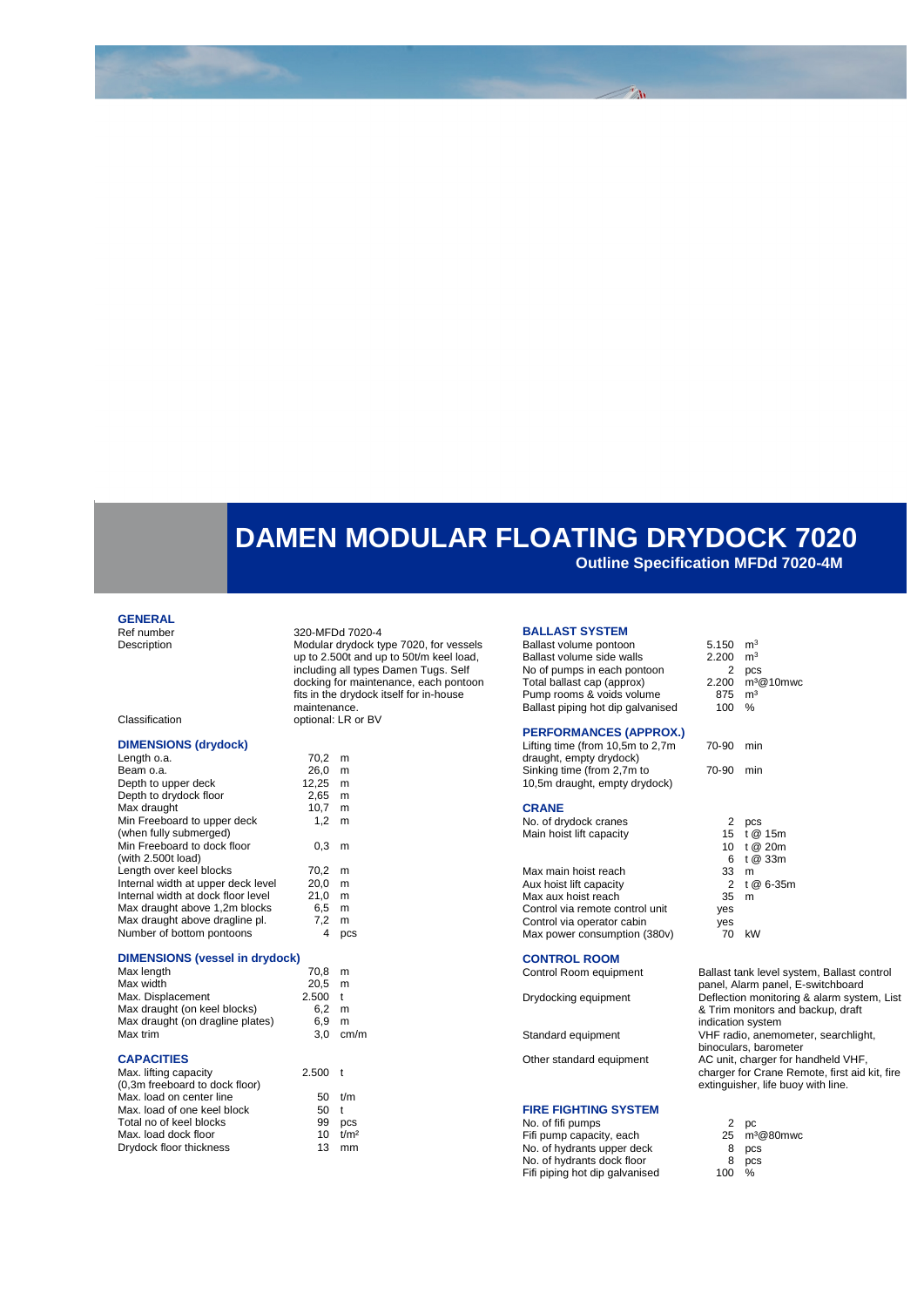# **DAMEN MODULAR FLOATING DRYDOCK 7020**

**Outline Specification MFDd 7020-4M**

### **GENERAL**<br>Ref number

Ref number 320-MFDd 7020-4<br>Description Modular drydock ty

Modular drydock type 7020, for vessels up to 2.500t and up to 50t/m keel load, including all types Damen Tugs. Self docking for maintenance, each pontoon fits in the drydock itself for in-house maintenance. Classification optional: LR or BV

| Classification |  |  |
|----------------|--|--|
|                |  |  |

### **DIMENSIONS (drydock)**

| Length o.a.                        | 70,2  | m   |
|------------------------------------|-------|-----|
| Beam o.a.                          | 26.0  | m   |
| Depth to upper deck                | 12,25 | m   |
| Depth to drydock floor             | 2.65  | m   |
| Max draught                        | 10,7  | m   |
| Min Freeboard to upper deck        | 1,2   | m   |
| (when fully submerged)             |       |     |
| Min Freeboard to dock floor        | 0.3   | m   |
| (with $2.500t$ load)               |       |     |
| Length over keel blocks            | 70.2  | m   |
| Internal width at upper deck level | 20.0  | m   |
| Internal width at dock floor level | 21,0  | m   |
| Max draught above 1,2m blocks      | 6.5   | m   |
| Max draught above dragline pl.     | 7.2   | m   |
| Number of bottom pontoons          | 4     | DCS |

#### **DIMENSIONS (vessel in drydock)**

| Max length                       | 70.8  | m          |
|----------------------------------|-------|------------|
| Max width                        | 20.5  | m          |
| Max. Displacement                | 2.500 | $\ddagger$ |
| Max draught (on keel blocks)     | 6.2   | m          |
| Max draught (on dragline plates) | 6.9   | m          |
| Max trim                         | 3.0   | .cm/m      |

#### **CAPACITIES**

| Max. lifting capacity          | $2.500$ t |                  |
|--------------------------------|-----------|------------------|
| (0,3m freeboard to dock floor) |           |                  |
| Max. load on center line       |           | $50$ t/m         |
| Max. load of one keel block    | 50        | $\ddagger$       |
| Total no of keel blocks        | 99        | <b>DCS</b>       |
| Max. load dock floor           | 10        | t/m <sup>2</sup> |
| Drydock floor thickness        | 13        | mm               |

#### **BALLAST SYSTEM**

Ballast volume pontoon  $5.150 \text{ m}^3$ <br>Ballast volume side walls  $2.200 \text{ m}^3$ Ballast volume side walls No of pumps in each pontoon Total ballast cap (approx) 2. Pump rooms & voids volume Ballast piping hot dip galvanised

#### **PERFORMANCES (APPROX.)**

| Lifting time (from 10,5m to 2,7m |
|----------------------------------|
| draught, empty drydock)          |
| Sinking time (from 2,7m to       |
| 10,5m draught, empty drydock)    |
|                                  |

#### **CRANE**

No. of drydock cranes Main hoist lift capacity

Max main hoist reach Aux hoist lift capacity Max aux hoist reach Control via remote control unit Control via operator cabin ves<br>
Max nower consumption (380v) 70 kW Max power consumption (380v)

#### **CONTROL ROOM**

#### **FIRE FIGHTING SYSTEM**

No. of fifi pumps Fifi pump capacity, each 25 m<sup>3</sup>@80mwc No. of hydrants upper deck No. of hydrants dock floor and the state of the Boston Boston Boston Boston Boston Boston Boston Boston Boston Boston Boston Boston Boston Boston Boston Boston Boston Boston Boston Boston Boston Boston Boston Boston Boston Fifi piping hot dip galvanised

| 2<br>875 m <sup>3</sup><br>100 % | pcs<br>2.200 m <sup>3</sup> @10mwc                           |
|----------------------------------|--------------------------------------------------------------|
| 70-90 min                        |                                                              |
| 70-90 min                        |                                                              |
| 33 m<br>35 m<br>yes<br>yes       | 2 pcs<br>15 t@ 15m<br>10 t @ 20m<br>6 t @ 33m<br>2 t @ 6-35m |

Control Room equipment Ballast tank level system, Ballast control panel, Alarm panel, E-switchboard Drydocking equipment Deflection monitoring & alarm system, List & Trim monitors and backup, draft indication system Standard equipment VHF radio, anemometer, searchlight, binoculars, barometer Other standard equipment AC unit, charger for handheld VHF, charger for Crane Remote, first aid kit, fire extinguisher, life buoy with line.

| 2  | DС        |
|----|-----------|
| 25 | $m^3@80m$ |
| 8  | pcs       |
| 8  | pcs       |